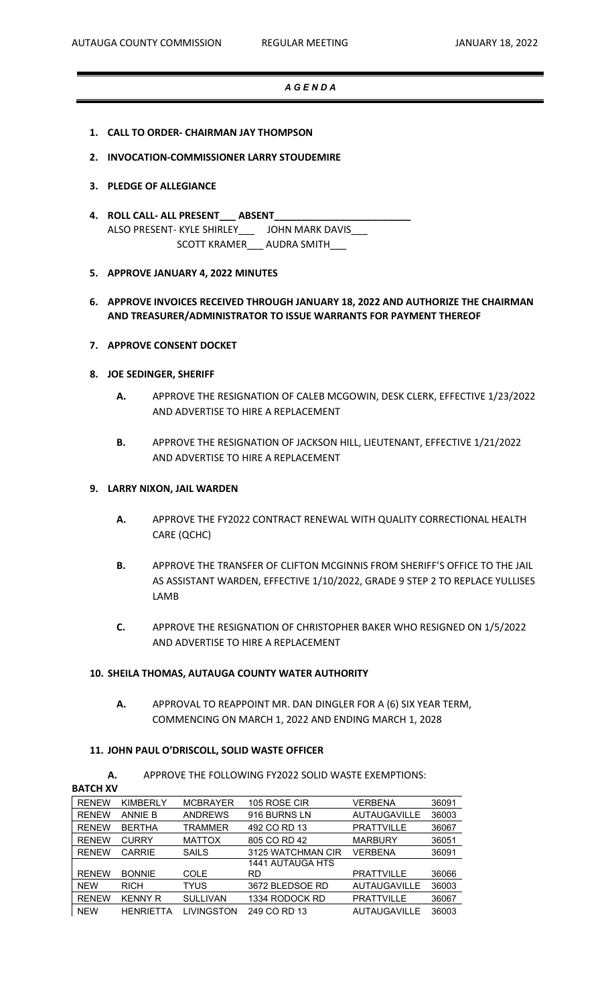### *A G E N D A*

- **1. CALL TO ORDER- CHAIRMAN JAY THOMPSON**
- **2. INVOCATION-COMMISSIONER LARRY STOUDEMIRE**

#### **3. PLEDGE OF ALLEGIANCE**

**4. ROLL CALL- ALL PRESENT\_\_\_ ABSENT\_\_\_\_\_\_\_\_\_\_\_\_\_\_\_\_\_\_\_\_\_\_\_\_\_** ALSO PRESENT- KYLE SHIRLEY\_\_\_ JOHN MARK DAVIS\_\_\_ SCOTT KRAMER\_\_\_ AUDRA SMITH\_\_\_

#### **5. APPROVE JANUARY 4, 2022 MINUTES**

**6. APPROVE INVOICES RECEIVED THROUGH JANUARY 18, 2022 AND AUTHORIZE THE CHAIRMAN AND TREASURER/ADMINISTRATOR TO ISSUE WARRANTS FOR PAYMENT THEREOF**

### **7. APPROVE CONSENT DOCKET**

#### **8. JOE SEDINGER, SHERIFF**

- **A.** APPROVE THE RESIGNATION OF CALEB MCGOWIN, DESK CLERK, EFFECTIVE 1/23/2022 AND ADVERTISE TO HIRE A REPLACEMENT
- **B.** APPROVE THE RESIGNATION OF JACKSON HILL, LIEUTENANT, EFFECTIVE 1/21/2022 AND ADVERTISE TO HIRE A REPLACEMENT

## **9. LARRY NIXON, JAIL WARDEN**

- **A.** APPROVE THE FY2022 CONTRACT RENEWAL WITH QUALITY CORRECTIONAL HEALTH CARE (QCHC)
- **B.** APPROVE THE TRANSFER OF CLIFTON MCGINNIS FROM SHERIFF'S OFFICE TO THE JAIL AS ASSISTANT WARDEN, EFFECTIVE 1/10/2022, GRADE 9 STEP 2 TO REPLACE YULLISES LAMB
- **C.** APPROVE THE RESIGNATION OF CHRISTOPHER BAKER WHO RESIGNED ON 1/5/2022 AND ADVERTISE TO HIRE A REPLACEMENT

### **10. SHEILA THOMAS, AUTAUGA COUNTY WATER AUTHORITY**

**A.** APPROVAL TO REAPPOINT MR. DAN DINGLER FOR A (6) SIX YEAR TERM, COMMENCING ON MARCH 1, 2022 AND ENDING MARCH 1, 2028

# **11. JOHN PAUL O'DRISCOLL, SOLID WASTE OFFICER**

**A.** APPROVE THE FOLLOWING FY2022 SOLID WASTE EXEMPTIONS:

**BATCH XV**

| <b>RENEW</b> | <b>KIMBERLY</b>  | <b>MCBRAYER</b> | 105 ROSE CIR      | VERBENA             | 36091 |
|--------------|------------------|-----------------|-------------------|---------------------|-------|
| <b>RENEW</b> | <b>ANNIE B</b>   | <b>ANDREWS</b>  | 916 BURNS LN      | <b>AUTAUGAVILLE</b> | 36003 |
| <b>RENEW</b> | <b>BERTHA</b>    | TRAMMER         | 492 CO RD 13      | <b>PRATTVILLE</b>   | 36067 |
| <b>RENEW</b> | <b>CURRY</b>     | <b>MATTOX</b>   | 805 CO RD 42      | <b>MARBURY</b>      | 36051 |
| <b>RENEW</b> | <b>CARRIE</b>    | <b>SAILS</b>    | 3125 WATCHMAN CIR | VERBENA             | 36091 |
|              |                  |                 | 1441 AUTAUGA HTS  |                     |       |
| <b>RENEW</b> | <b>BONNIE</b>    | <b>COLE</b>     | RD                | <b>PRATTVILLE</b>   | 36066 |
| <b>NEW</b>   | <b>RICH</b>      | <b>TYUS</b>     | 3672 BLEDSOE RD   | <b>AUTAUGAVILLE</b> | 36003 |
| <b>RENEW</b> | <b>KENNY R</b>   | <b>SULLIVAN</b> | 1334 RODOCK RD    | <b>PRATTVILLE</b>   | 36067 |
| <b>NEW</b>   | <b>HENRIETTA</b> | LIVINGSTON      | 249 CO RD 13      | <b>AUTAUGAVILLE</b> | 36003 |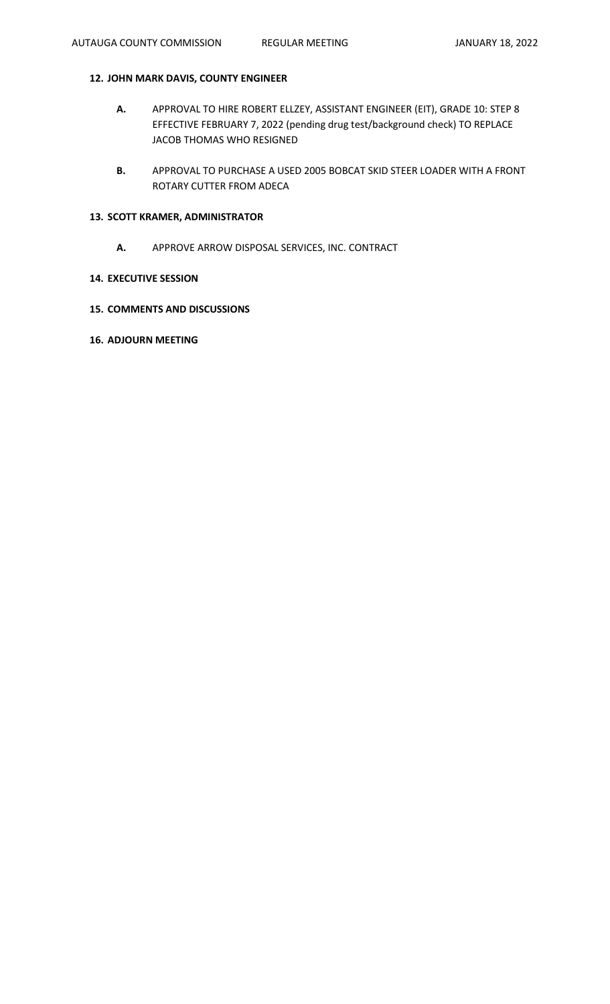# **12. JOHN MARK DAVIS, COUNTY ENGINEER**

- **A.** APPROVAL TO HIRE ROBERT ELLZEY, ASSISTANT ENGINEER (EIT), GRADE 10: STEP 8 EFFECTIVE FEBRUARY 7, 2022 (pending drug test/background check) TO REPLACE JACOB THOMAS WHO RESIGNED
- **B.** APPROVAL TO PURCHASE A USED 2005 BOBCAT SKID STEER LOADER WITH A FRONT ROTARY CUTTER FROM ADECA

## **13. SCOTT KRAMER, ADMINISTRATOR**

**A.** APPROVE ARROW DISPOSAL SERVICES, INC. CONTRACT

## **14. EXECUTIVE SESSION**

- **15. COMMENTS AND DISCUSSIONS**
- **16. ADJOURN MEETING**